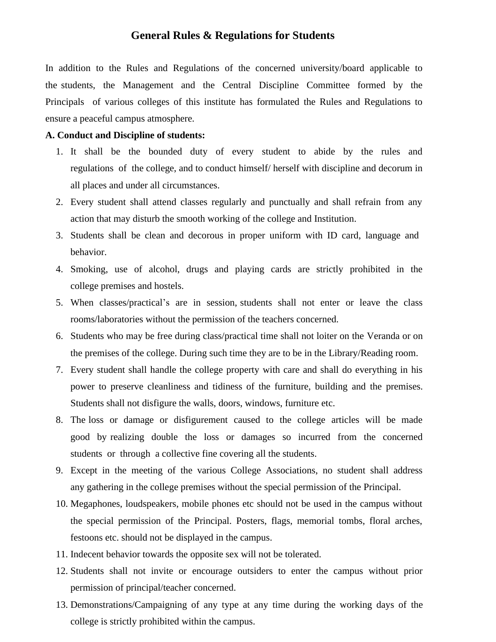### **General Rules & Regulations for Students**

In addition to the Rules and Regulations of the concerned university/board applicable to the students, the Management and the Central Discipline Committee formed by the Principals of various colleges of this institute has formulated the Rules and Regulations to ensure a peaceful campus atmosphere.

#### **A. Conduct and Discipline of students:**

- 1. It shall be the bounded duty of every student to abide by the rules and regulations of the college, and to conduct himself/ herself with discipline and decorum in all places and under all circumstances.
- 2. Every student shall attend classes regularly and punctually and shall refrain from any action that may disturb the smooth working of the college and Institution.
- 3. Students shall be clean and decorous in proper uniform with ID card, language and behavior.
- 4. Smoking, use of alcohol, drugs and playing cards are strictly prohibited in the college premises and hostels.
- 5. When classes/practical's are in session, students shall not enter or leave the class rooms/laboratories without the permission of the teachers concerned.
- 6. Students who may be free during class/practical time shall not loiter on the Veranda or on the premises of the college. During such time they are to be in the Library/Reading room.
- 7. Every student shall handle the college property with care and shall do everything in his power to preserve cleanliness and tidiness of the furniture, building and the premises. Students shall not disfigure the walls, doors, windows, furniture etc.
- 8. The loss or damage or disfigurement caused to the college articles will be made good by realizing double the loss or damages so incurred from the concerned students or through a collective fine covering all the students.
- 9. Except in the meeting of the various College Associations, no student shall address any gathering in the college premises without the special permission of the Principal.
- 10. Megaphones, loudspeakers, mobile phones etc should not be used in the campus without the special permission of the Principal. Posters, flags, memorial tombs, floral arches, festoons etc. should not be displayed in the campus.
- 11. Indecent behavior towards the opposite sex will not be tolerated.
- 12. Students shall not invite or encourage outsiders to enter the campus without prior permission of principal/teacher concerned.
- 13. Demonstrations/Campaigning of any type at any time during the working days of the college is strictly prohibited within the campus.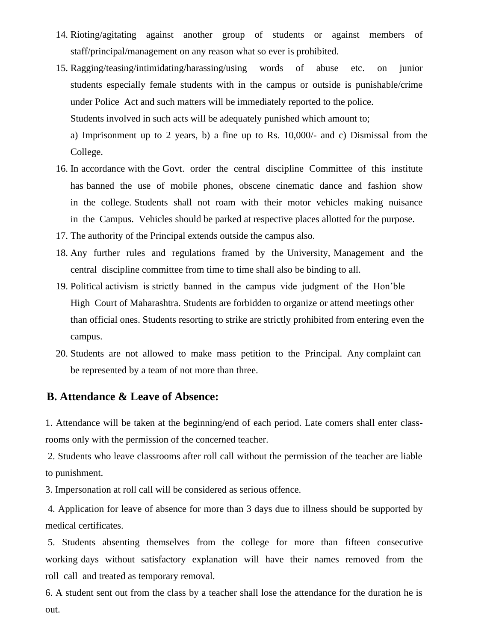- 14. Rioting/agitating against another group of students or against members of staff/principal/management on any reason what so ever is prohibited.
- 15. Ragging/teasing/intimidating/harassing/using words of abuse etc. on junior students especially female students with in the campus or outside is punishable/crime under Police Act and such matters will be immediately reported to the police. Students involved in such acts will be adequately punished which amount to; a) Imprisonment up to 2 years, b) a fine up to Rs. 10,000/- and c) Dismissal from the

College.

- 16. In accordance with the Govt. order the central discipline Committee of this institute has banned the use of mobile phones, obscene cinematic dance and fashion show in the college. Students shall not roam with their motor vehicles making nuisance in the Campus. Vehicles should be parked at respective places allotted for the purpose.
- 17. The authority of the Principal extends outside the campus also.
- 18. Any further rules and regulations framed by the University, Management and the central discipline committee from time to time shall also be binding to all.
- 19. Political activism is strictly banned in the campus vide judgment of the Hon'ble High Court of Maharashtra. Students are forbidden to organize or attend meetings other than official ones. Students resorting to strike are strictly prohibited from entering even the campus.
- 20. Students are not allowed to make mass petition to the Principal. Any complaint can be represented by a team of not more than three.

#### **B. Attendance & Leave of Absence:**

1. Attendance will be taken at the beginning/end of each period. Late comers shall enter classrooms only with the permission of the concerned teacher.

2. Students who leave classrooms after roll call without the permission of the teacher are liable to punishment.

3. Impersonation at roll call will be considered as serious offence.

4. Application for leave of absence for more than 3 days due to illness should be supported by medical certificates.

5. Students absenting themselves from the college for more than fifteen consecutive working days without satisfactory explanation will have their names removed from the roll call and treated as temporary removal.

6. A student sent out from the class by a teacher shall lose the attendance for the duration he is out.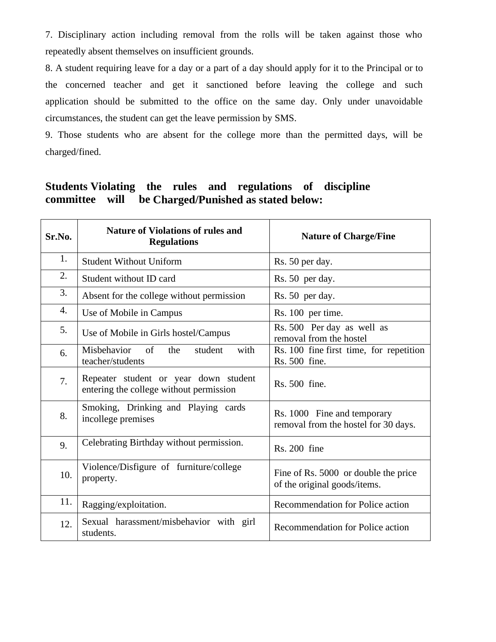7. Disciplinary action including removal from the rolls will be taken against those who repeatedly absent themselves on insufficient grounds.

8. A student requiring leave for a day or a part of a day should apply for it to the Principal or to the concerned teacher and get it sanctioned before leaving the college and such application should be submitted to the office on the same day. Only under unavoidable circumstances, the student can get the leave permission by SMS.

9. Those students who are absent for the college more than the permitted days, will be charged/fined.

## **Students Violating the rules and regulations of discipline committee will be Charged/Punished as stated below:**

| Sr.No. | <b>Nature of Violations of rules and</b><br><b>Regulations</b>                   | <b>Nature of Charge/Fine</b>                                         |
|--------|----------------------------------------------------------------------------------|----------------------------------------------------------------------|
| 1.     | <b>Student Without Uniform</b>                                                   | Rs. 50 per day.                                                      |
| 2.     | Student without ID card                                                          | Rs. 50 per day.                                                      |
| 3.     | Absent for the college without permission                                        | Rs. 50 per day.                                                      |
| 4.     | Use of Mobile in Campus                                                          | Rs. 100 per time.                                                    |
| 5.     | Use of Mobile in Girls hostel/Campus                                             | Rs. 500 Per day as well as<br>removal from the hostel                |
| 6.     | Misbehavior<br>$\sigma$<br>the<br>student<br>with<br>teacher/students            | Rs. 100 fine first time, for repetition<br>Rs. 500 fine.             |
| 7.     | Repeater student or year down student<br>entering the college without permission | Rs. 500 fine.                                                        |
| 8.     | Smoking, Drinking and Playing cards<br>incollege premises                        | Rs. 1000 Fine and temporary<br>removal from the hostel for 30 days.  |
| 9.     | Celebrating Birthday without permission.                                         | Rs. 200 fine                                                         |
| 10.    | Violence/Disfigure of furniture/college<br>property.                             | Fine of Rs. 5000 or double the price<br>of the original goods/items. |
| 11.    | Ragging/exploitation.                                                            | Recommendation for Police action                                     |
| 12.    | Sexual harassment/misbehavior with girl<br>students.                             | Recommendation for Police action                                     |